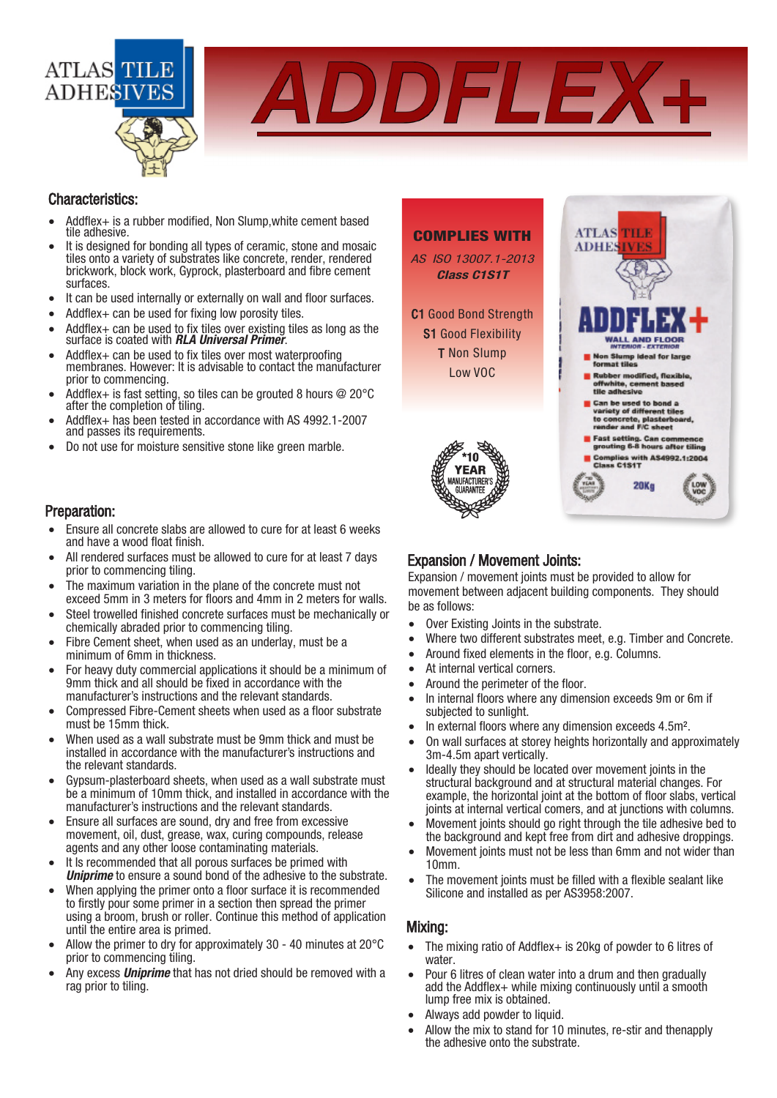

ADDFLEX-

#### Characteristics:

- Addflex+ is a rubber modified, Non Slump,white cement based tile adhesive.
- It is designed for bonding all types of ceramic, stone and mosaic tiles onto a variety of substrates like concrete, render, rendered brickwork, block work, Gyprock, plasterboard and fibre cement surfaces.
- It can be used internally or externally on wall and floor surfaces.
- Addflex + can be used for fixing low porosity tiles.
- Addflex $+$  can be used to fix tiles over existing tiles as long as the surface is coated with **RLA Universal Primer.**
- Addflex + can be used to fix tiles over most waterproofing membranes. However: It is advisable to contact the manufacturer prior to commencing.
- Addflex+ is fast setting, so tiles can be grouted 8 hours  $@$  20 $°C$ after the completion of tiling.
- Addflex+ has been tested in accordance with AS 4992.1-2007 and passes its requirements.
- Do not use for moisture sensitive stone like green marble.

#### Preparation:

- Ensure all concrete slabs are allowed to cure for at least 6 weeks and have a wood float finish.
- All rendered surfaces must be allowed to cure for at least 7 days prior to commencing tiling.
- The maximum variation in the plane of the concrete must not exceed 5mm in 3 meters for floors and 4mm in 2 meters for walls.
- Steel trowelled finished concrete surfaces must be mechanically or chemically abraded prior to commencing tiling.
- Fibre Cement sheet, when used as an underlay, must be a minimum of 6mm in thickness.
- For heavy duty commercial applications it should be a minimum of 9mm thick and all should be fixed in accordance with the manufacturer's instructions and the relevant standards.
- Compressed Fibre-Cement sheets when used as a floor substrate must be 15mm thick.
- When used as a wall substrate must be 9mm thick and must be installed in accordance with the manufacturer's instructions and the relevant standards.
- Gypsum-plasterboard sheets, when used as a wall substrate must be a minimum of 10mm thick, and installed in accordance with the manufacturer's instructions and the relevant standards.
- Ensure all surfaces are sound, dry and free from excessive movement, oil, dust, grease, wax, curing compounds, release agents and any other loose contaminating materials.
- It Is recommended that all porous surfaces be primed with **Uniprime** to ensure a sound bond of the adhesive to the substrate.
- When applying the primer onto a floor surface it is recommended to firstly pour some primer in a section then spread the primer using a broom, brush or roller. Continue this method of application until the entire area is primed.
- Allow the primer to dry for approximately 30 40 minutes at 20°C prior to commencing tiling.
- Any excess **Uniprime** that has not dried should be removed with a rag prior to tiling.



## Expansion / Movement Joints:

 Expansion / movement joints must be provided to allow for movement between adjacent building components. They should be as follows:

- Over Existing Joints in the substrate.
- Where two different substrates meet, e.g. Timber and Concrete.
- Around fixed elements in the floor, e.g. Columns.
- At internal vertical corners.
- Around the perimeter of the floor.
- In internal floors where any dimension exceeds 9m or 6m if subjected to sunlight.
- In external floors where any dimension exceeds 4.5m<sup>2</sup>.
- On wall surfaces at storey heights horizontally and approximately 3m-4.5m apart vertically.
- Ideally they should be located over movement joints in the structural background and at structural material changes. For example, the horizontal joint at the bottom of floor slabs, vertical joints at internal vertical comers, and at junctions with columns.
- Movement joints should go right through the tile adhesive bed to the background and kept free from dirt and adhesive droppings.
- Movement joints must not be less than 6mm and not wider than 10mm.
- The movement joints must be filled with a flexible sealant like Silicone and installed as per AS3958:2007.

## Mixing:

- The mixing ratio of Addflex+ is 20kg of powder to 6 litres of water.
- Pour 6 litres of clean water into a drum and then gradually add the Addflex+ while mixing continuously until a smooth lump free mix is obtained.
- Always add powder to liquid.
- Allow the mix to stand for 10 minutes, re-stir and thenapply the adhesive onto the substrate.